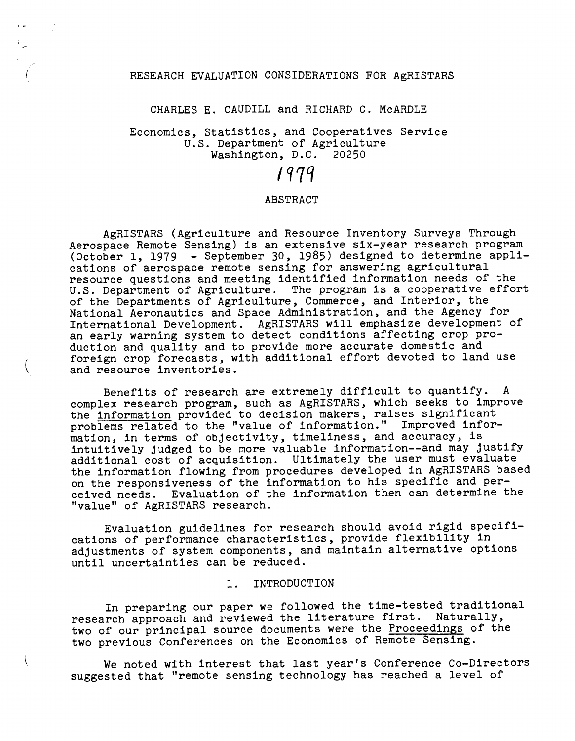#### RESEARCH EVALUATION CONSIDERATIONS FOR AGRISTARS

#### CHARLES E. CAUDILL and RICHARD C. McARDLE

## Economics, Statistics, and Cooperatives Service U.S. Department of Agriculture Washington, D.C. 20250

# 1979

#### ABSTRACT

AgRISTARS (Agriculture and Resource Inventory Surveys Through Aerospace Remote Sensing) is an extensive six-year research program (October 1, 1979 - September 30, 1985) designed to determine applications of aerospace remote sensing for answering agricultural resource questions and meeting identified information needs of the U.S. Department of Agriculture. The program is a cooperative effort of the Departments of Agriculture, Commerce, and Interior, the National Aeronautics and Space Administration, and the Agency for International Development. AgRISTARS will emphasize development of an early warning system to detect conditions affecting crop production and quality and to provide more accurate domestic and foreign crop forecasts, with additional effort devoted to land use and resource inventories.

Benefits of research are extremely difficult to quantify. A complex research program, such as AgRISTARS, which seeks to improve the information provided to decision makers, raises significant problems related to the "value of information." Improved information, in terms of objectivity, timeliness, and accuracy, is intuitively judged to be more valuable information--and may justify additional cost of acquisition. Ultimately the user must evaluate the information flowing from procedures developed in AgRISTARS based on the responsiveness of the information to his specific and perceived needs. Evaluation of the information then can determine the "value" of AgRISTARS research.

Evaluation guidelines for research should avoid rigid specifications of performance characteristics, provide flexibility in adjustments of system components, and maintain alternative options until uncertainties can be reduced.

## 1. INTRODUCTION

ί

In preparing our paper we followed the time-tested traditional research approach and reviewed the literature first. Naturally, two of our principal source documents were the Proceedings of the two previous Conferences on the Economics of Remote Sensing.

We noted with interest that last year's Conference Co-Directors suggested that "remote sensing technology has reached a level of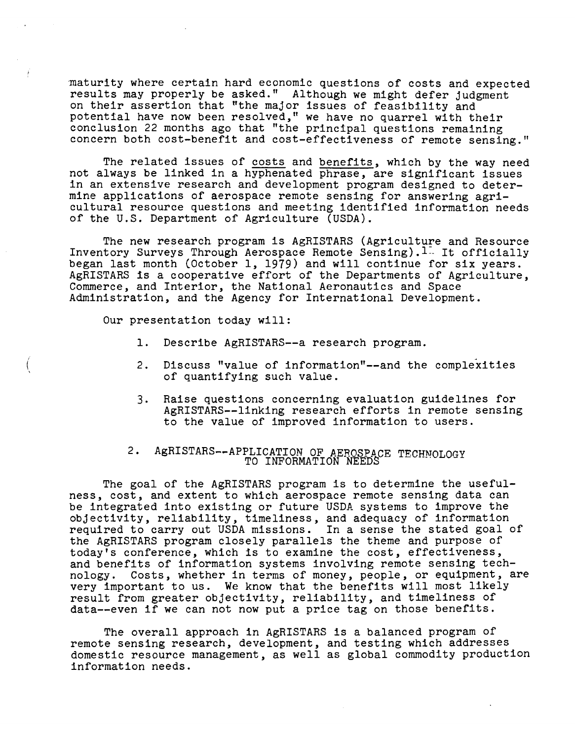maturity where certain hard economic questions of costs and expected results may properly be asked." Although we might defer judgment on their assertion that "the major issues of feasibility and potential have now been resolved," we have no quarrel with their conclusion 22 months ago that "the principal questions remaining concern both cost-benefit and cost-effectiveness of remote sensing."

The related issues of costs and benefits, which by the way need not always be linked in a hyphenated phrase, are significant issues in an extensive research and development program designed to determine applications of aerospace remote sensing for answering agricultural resource questions and meeting identified information needs of the U.S. Department of Agriculture (USDA).

The new research program is AgRISTARS (Agriculture and Resource Inventory Surveys Through Aerospace Remote Sensing).<sup>1</sup> It officially began last month (October 1, 1979) and will continue for six years. AgRISTARS is a cooperative effort of the Departments of Agriculture, Commerce, and Interior, the National Aeronautics and Space Administration, and the Agency for International Development.

Our presentation today will:

- 1. Describe AgRISTARS--a research program.
- 2. Discuss "value of information"--and the complexities of quantifying such value.
- 3. Raise questions concerning evaluation guidelines for AgRISTARS--linking research efforts in remote sensing to the value of improved information to users.

#### 2. AgRISTARS--APPLICATION OF AEROSPACE TECHNOLOG TO INFORMATION NEEDS - - - - ....

The goal of the AgRISTARS program is to determine the usefulness, cost, and extent to which aerospace remote sensing data can be integrated into existing or future USDA systems to improve the objectivity, reliability, timeliness, and adequacy of information required to carry out USDA missions. In a sense the stated goal of the AgRISTARS program closely parallels the theme and purpose of today's conference, which is to examine the cost, effectiveness, and benefits of information systems involving remote sensing technology. Costs, whether in terms of money, people, or equipment, are very important to us. We know that the benefits will most likely result from greater objectivity, reliability, and timeliness of data--even if we can not now put a price tag on those benefits.

The overall approach in AgRISTARS is a balanced program of remote sensing research, development, and testing which addresses domestic resource management, as well as global commodity production information needs.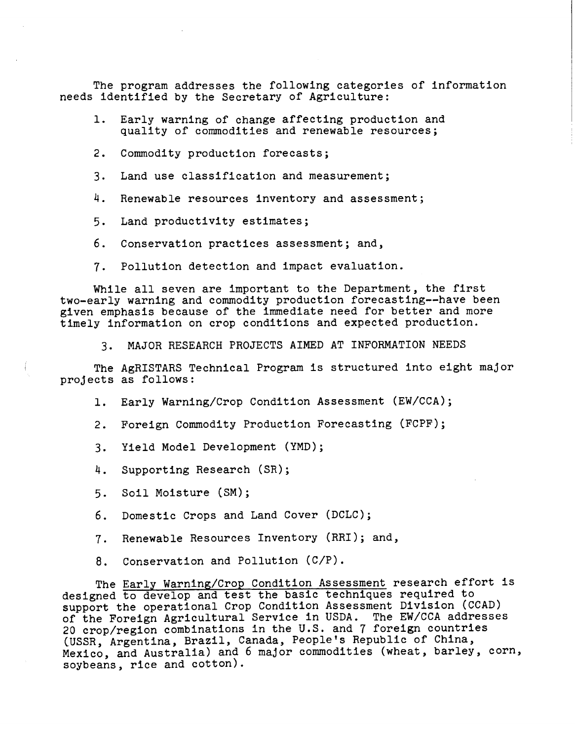The program addresses the following categories of information needs identified by the Secretary of Agriculture:

- 1. Early warning of change affecting production and quality of commodities and renewable resources;
- 2. Commodity production forecasts;
- 3. Land use classification and measurement;
- 4. Renewable resources inventory and assessment;
- 5. Land productivity estimates;
- 6. Conservation practices assessment; and,
- 7. Pollution detection and impact evaluation.

While all seven are important to the Department, the first two-early warning and commodity production forecasting--have been given emphasis because of the immediate need for better and more timely information on crop conditions and expected production.

3. MAJOR RESEARCH PROJECTS AIMED AT INFORMATION NEEDS

The AgRISTARS Technical Program is structured into eight major projects as follows:

1. Early Warning/Crop Condition Assessment (EW/CCA);

- 2. Foreign Commodity Production Forecasting (FCPF);
- 3. Yield Model Development (YMD);
- 4. Supporting Research (SR);
- 5. Soil Moisture (SM);
- 6. Domestic Crops and Land Cover (DCLC);
- 7. Renewable Resources Inventory (RRI); and,
- 8. Conservation and Pollution (C/P).

The Early Warning/Crop Condition Assessment research effort is designed to develop and test the basic techniques required to support the operational Crop Condition Assessment Division (CCAD) of the Foreign Agricultural Service in USDA. The EW/CCA addresses 20 crop/region combinations in the U.S. and 7 foreign countries (USSR, Argentina, Brazil, Canada, People's Republic of China, Mexico, and Australia) and 6 major commodities (wheat, barley, corn, soybeans, rice and cotton).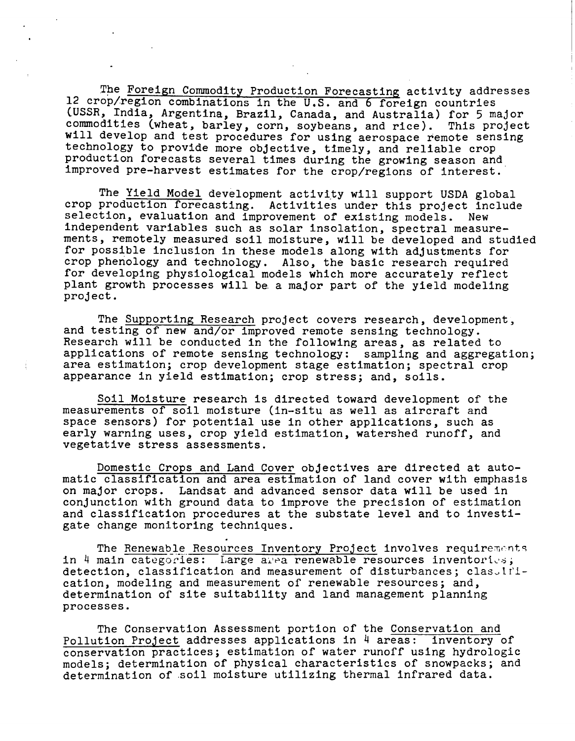The Foreign Commodity Production Forecasting activity addresses 12 crop/region combinations in the U.S. and 6 foreign countries (USSR, India, Argentina, Brazil, Canada, and Australia) for 5 major commodities (wheat, barley, corn, soybeans, and rice). This project will develop and test procedures for using aerospace remote sensing technology to provide more objective, timely, and reliable crop production forecasts several times during the growing season and improved pre-harvest estimates for the crop/regions of interest.

The Yield Model development activity will support USDA global crop production forecasting. Activities under this project include selection, evaluation and improvement of existing models. New independent variables such as solar insolation, spectral measurements, remotely measured soil moisture, will be developed and studied for possible inclusion in these models along with adjustments for crop phenology and technology. Also, the basic research required for developing physiological models which more accurately reflect plant growth processes will be a major part of the yield modeling project.

The Supporting Research project covers research, development, and testing of new and/or improved remote sensing technology. Research will be conducted in the following areas, as related to applications of remote sensing technology: sampling and aggregation; area estimation; crop development stage estimation; spectral crop appearance in yield estimation; crop stress; and, soils.

Soil Moisture research is directed toward development of the measurements of soil moisture (in-situ as well as aircraft and space sensors) for potential use in other applications, such as early warning uses, crop yield estimation, watershed runoff, and vegetative stress assessments.

Domestic Crops and Land Cover objectives are directed at automatic classification and area estimation of land cover with emphasis on major crops. Landsat and advanced sensor data will be used in conjunction with ground data to improve the precision of estimation and classification procedures at the substate level and to investigate change monitoring techniques . .

The Renewable Resources Inventory Project involves requirements in 4 main categories: Large area renewable resources inventories; detection, classification and measurement of disturbances; classification, modeling and measurement of renewable resources; and, determination of site suitability and land management planning processes.

The Conservation Assessment portion of the Conservation and Pollution Project addresses applications in 4 areas: inventory of conservation practices; estimation of water runoff using hydrologic models; determination of physical characteristics of snowpacks; and determination of .soil moisture utilizing thermal infrared data.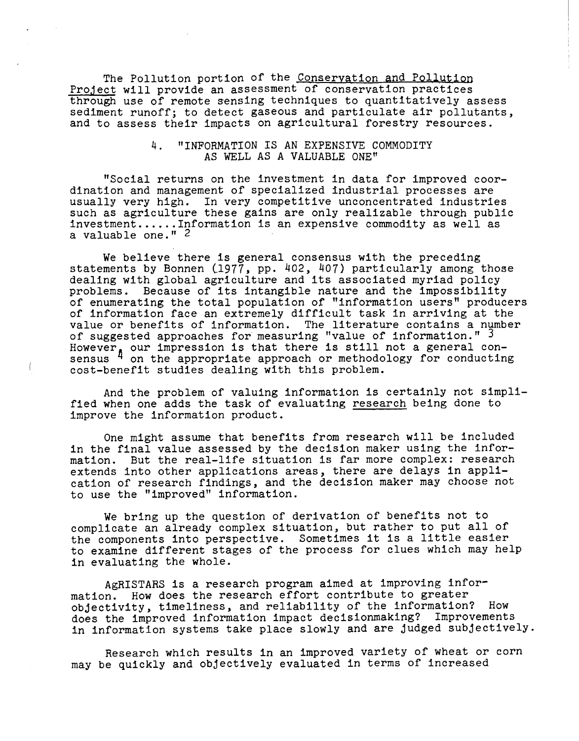The Pollution portion of the Conservation and Pollution Project will provide an assessment of conservation practices through use of remote sensing techniques to quantitatively assess sediment runoff; to detect gaseous and particulate air pollutants, and to assess their impacts on agricultural forestry resources.

## 4. "INFORMATION IS AN EXPENSIVE COMMODITY AS WELL AS A VALUABLE ONE"

"Social returns on the investment in data for improved coordination and management of specialized industrial processes are usually very high. In very competitive unconcentrated industries such as agriculture these gains are only realizable through public investment......Information is an expensive commodity as well as a valuable one." 2

We believe there is general consensus with the preceding statements by Bonnen (1977, pp. 402, 407) particularly among those dealing with global agriculture and its associated myriad policy problems. Because of its intangible nature and the impossibility of enumerating the total population of "information users" producers of information face an extremely difficult task in arriving at the value or benefits of information. The literature contains a number of suggested approaches for measuring "value of information." <sup>3</sup> However, our impression is that there is still not a general consensus <sup>4</sup> on the appropriate approach or methodology for conducting cost-benefit studies dealing with this problem.

And the problem of valuing information is certainly not simplified when one adds the task of evaluating research being done to improve the information product.

 $\overline{\phantom{a}}$ 

One might assume that benefits from research will be included in the final value assessed by the decision maker using the information. But the real-life situation is far more complex: research extends into other applications areas, there are delays in application of research findings, and the decision maker may choose not to use the "improved" information.

We bring up the question of derivation of benefits not to complicate an already complex situation, but rather to put all of the components into perspective. Sometimes it is a little easier to examine different stages of the process for clues which may help in evaluating the whole.

AgRISTARS is a research program aimed at improving information. How does the research effort contribute to greater objectivity, timeliness, and reliability of the information? How does the improved information impact decisionmaking? Improvements in information systems take place slowly and are judged subjectively.

Research which results in an improved variety of wheat or corn may be quickly and objectively evaluated in terms of increased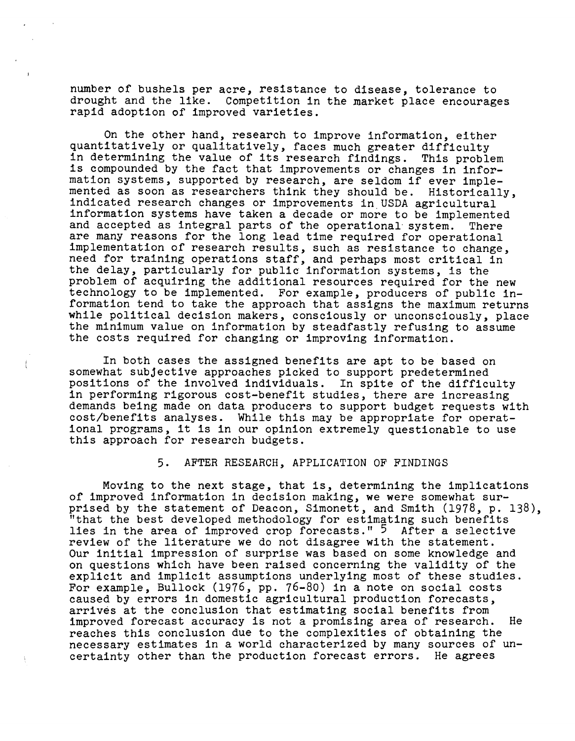number of bushels per acre, resistance to disease, tolerance to drought and the like. Competition in the market place encourage Competition in the market place encourages rapid adoption of improved varieties.

On the other hand, research to improve information, either quantitatively or qualitatively, faces much greater difficulty in determining the value of its research findings. This problem is compounded by the fact that improvements or changes in information systems, supported by research, are seldom if ever implemented as soon as researchers think they should be. Historically, indicated research changes or improvements in. USDA agricultural information systems have taken a decade or more to be implemented and accepted as integral parts of the operational· system. There are many reasons for the long lead time required for operational implementation of research results, such as resistance to change, need for training operations staff, and perhaps most critical in the delay, particularly for public information systems, is the problem of acquiring the additional resources required for the new technology to be implemented. For example, producers of public information tend to take the approach that assigns the maximum returns while political decision makers, consciously or unconsciously, place the minimum value on information by steadfastly refusing to assume the costs required for changing or improving information.

In both cases the assigned benefits are apt to be based on somewhat subjective approaches picked to support predetermined positions of the involved individuals. In spite of the difficulty in performing rigorous cost-benefit studies, there are increasing demands being made on data producers to support budget requests with cost/benefits analyses. While this may be appropriate for operational programs, it is in our opinion extremely questionable to use this approach for research budgets.

Ť

## 5. AFTER RESEARCH, APPLICATION OF FINDINGS

Moving to the next stage, that is, determining the implications of improved information in decision making, we were somewhat surprised by the statement of Deacon, Simonett, and Smith (1978, p. 138), "that the best developed methodology for estimating such benefit: lies in the area of improved crop forecasts."  $5$  After a selective review of the literature we do not disagree with the statement. Our initial impression of surprise was based on some knowledge and on questions which have been raised concerning the validity of the explicit and implicit assumptions underlying most of these studies. For example, Bullock (1976, pp. 76-80) in a note on social costs caused by errors in domestic agricultural production forecasts, arrives at the conclusion that estimating social benefits from improved forecast accuracy is not a promising area of research. He reaches this conclusion due to the complexities of obtaining the necessary estimates in a world characterized by many sources of uncertainty other than the production forecast errors. He agrees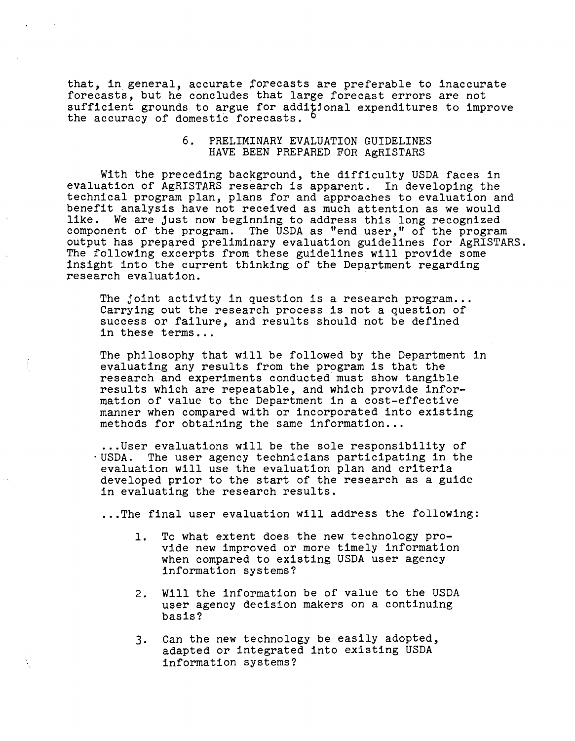that, in general, accurate forecasts are preferable to inaccurate forecasts, but he concludes that large forecast errors are not sufficient grounds to argue for additional expenditures to improve the accuracy of domestic forecasts.

## 6. PRELIMINARY EVALUATION GUIDELINES HAVE BEEN PREPARED FOR AgRISTARS

With the preceding background, the difficulty USDA faces in evaluation of AgRISTARS research is apparent. In developing the technical program plan, plans for and approaches to evaluation and benefit analysis have not received as much attention as we would<br>like. We are just now beginning to address this long recognized We are just now beginning to address this long recognized component of the program. The USDA as "end user," of the program output has prepared preliminary evaluation guidelines for AgRISTARS. The following excerpts from these guidelines will provide some insight into the current thinking of the Department regarding research evaluation.

The joint activity in question is a research program... Carrying out the research process is not a question of success or failure, and results should not be defined in these terms...

The philosophy that will be followed by the Department in evaluating any results from the program is that the research and experiments conducted must show tangible results which are repeatable, and which provide information of value to the Department in a cost-effective manner when compared with or incorporated into existing methods for obtaining the same information...

...User evaluations will be the sole responsibility of .USDA. The user agency technicians participating in the evaluation will use the evaluation plan and criteria developed prior to the start of the research as a guide in evaluating the research results .

...The final user evaluation will address the following:

- 1. To what extent does the new technology provide new improved or more timely information when compared to existing USDA user agency information systems?
- 2. Will the information be of value to the USDA user agency decision makers on a continuing basis?
- 3. Can the new technology be easily adopted, adapted or integrated into existing USDA information systems?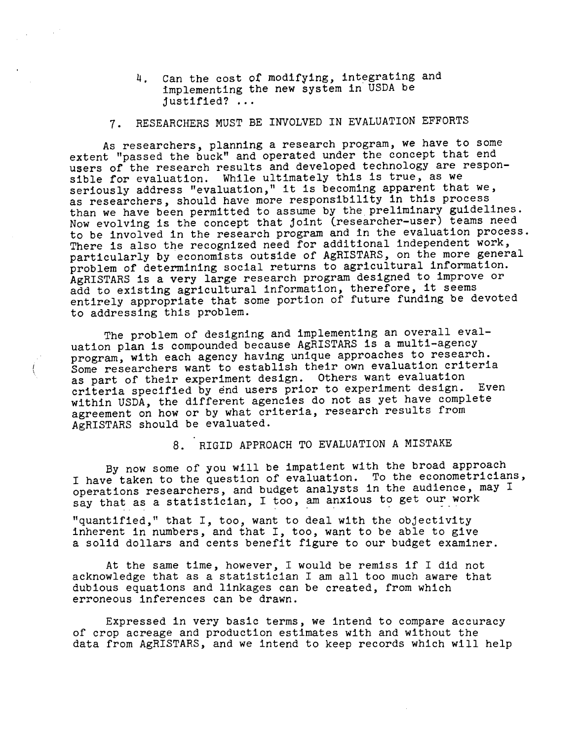4. Can the cost of modifying, integrating and implementing the new system in USDA be justified? ...

## 7. RESEARCHERS MUST BE INVOLVED IN EVALUATION EFFORTS

As researchers, planning a research program, we have to some extent "passed the buck" and operated under the concept that end users of the research results and developed technology are responsible for evaluation. While ultimately this is true, as we seriously address "evaluation," it is becoming apparent that we, as researchers, should have more responsibility in this process than we have been permitted to assume by the preliminary guidelines. Now evolving is the concept that joint (researcher-user) teams need to be involved in the research program and in the evaluation process. There is also the recognized need for additional independent work, particularly by economists outside of AgRISTARS, on the more general problem of determining social returns to agricultural information. AgRISTARS is a very large research program designed to improve or add to existing agricultural information, therefore, it seems entirely appropriate that some portion of future funding be devoted to addressing this problem.

The problem of designing and implementing an overall evaluation plan is compounded because AgRISTARS is a multi-agency program, with each agency having unique approaches to research. Some researchers want to establish their own evaluation criteria as part of their experiment design. Others want evaluation criteria specified by end users prior to experiment design. Even within USDA, the different agencies do not as yet have complete agreement on how or by what criteria, research results from AgRISTARS should be evaluated.

## 8. RIGID APPROACH TO EVALUATION A MISTAKE

By now some of you will be impatient with the broad approach I have taken to the question of evaluation. To the econometricians, operations researchers, and budget analysts in the audience, may I say that as a statistician, I too, am anxious to get our work

"quantified," that I, too, want to deal with the objectivity inherent in numbers, and that I, too, want to be able to give a solid dollars and cents benefit figure to our budget examiner.

At the same time, however, I would be remiss if I did not acknowledge that as a statistician I am all too much aware that dubious equations and linkages can be created, from which erroneous inferences can be drawn.

Expressed in very basic terms, we intend to compare accuracy of crop acreage and production estimates with and without the data from AgRISTARS, and we intend to keep records which will help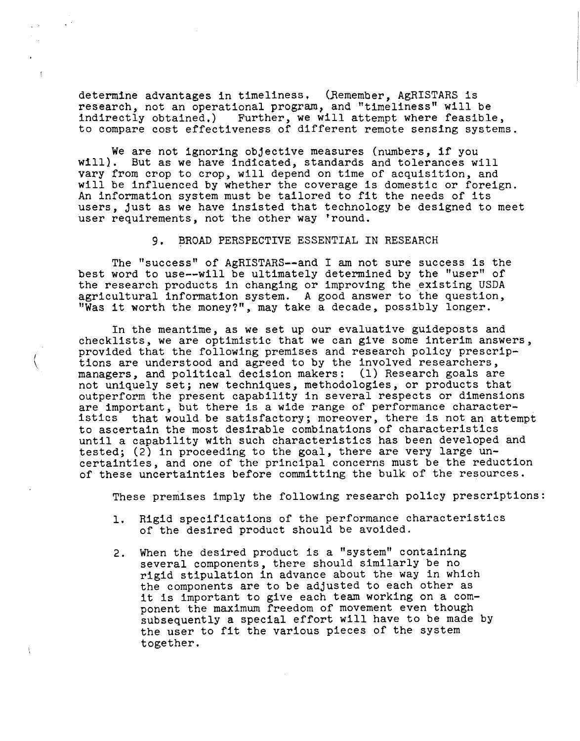determine advantages in timeliness. (Remember, AgRISTARS is research, not an operational program, and "timeliness" will be indirectly obtained.) Further, we will attempt where feasible, to compare cost effectiveness of different remote sensing systems.

We are not ignoring objective measures (numbers, if you will). But as we have indicated, standards and tolerances will vary from crop to crop, will depend on time of acquisition, and will be influenced by whether the coverage is domestic or foreign. An information system must be tailored to fit the needs of its users, just as we have insisted that technology be designed to meet user requirements, not the other way 'round.

#### 9. BROAD PERSPECTIVE ESSENTIAL IN RESEARCH

The "success" of AgRISTARS--and I am not sure success is the best word to use--will be ultimately determined by the "user" of the research products in changing or improving the existing USDA agricultural information system. A good answer to the question, "Was it worth the money?", may take a decade, possibly longer.

*f*  $\backslash$ 

 $\pm$ 

In the meantime, as we set up our evaluative guideposts and checklists, we are optimistic that we can give some interim answers, provided that the following premises and research policy prescriptions are understood and agreed to by the involved researchers, managers, and political decision makers: (1) Research goals are not uniquely set; new techniques, methodologies, or products that outperform the present capability in several respects or dimensions are important, but there is a wide range of performance characteristics that would be satisfactory; moreover, there is not an attempt to ascertain the most desirable combinations of characteristics until a capability with such characteristics has been developed and tested; (2) in proceeding to the goal, there are very large uncertainties, and one of the principal concerns must be the reduction of these uncertainties before committing the bulk of the resources.

These premises imply the following research policy prescriptions:

- 1. Rigid specifications of the performance characteristics of the desired product should be avoided.
- 2. When the desired product is a "system" containing several components, there should similarly be no rigid stipulation in advance about the way in which the components are to be adjusted to each other as it is important to give each team working on a component the maximum freedom of movement even though subsequently a special effort will have to be made by the user to fit the various pieces of the system together.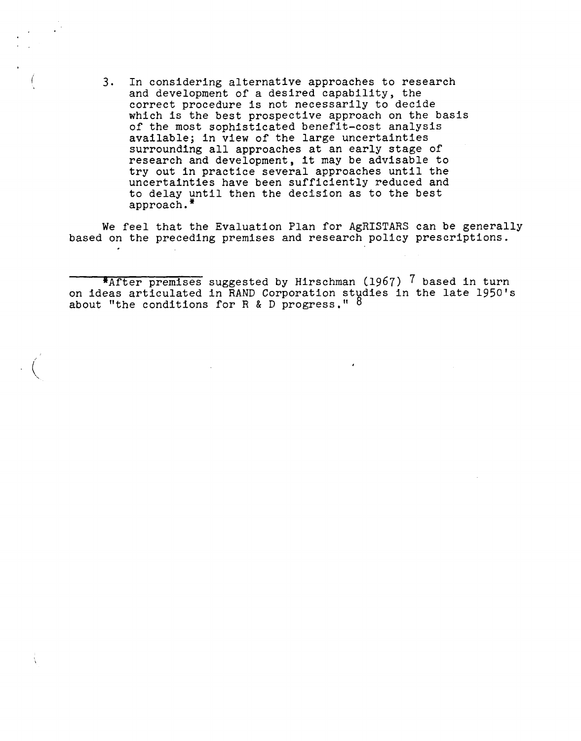3. In considering alternative approaches to research and development of a desired capability, the correct procedure is not necessarily to decide which is the best prospective approach on the basis of the most sophisticated benefit-cost analysis available; in view of the large uncertainties surrounding all approaches at an early stage of research and development, it may be advisable to try out in practice several approaches until the uncertainties have been sufficiently reduced and to delay until then the decision as to the best approach.\*

We feel that the Evaluation Plan for AgRISTARS can be generally based on the preceding premises and research policy prescriptions.

\*After premises suggested by Hirschman (1967) 7 based in turn on ideas articulated in RAND Corporation studies in the late 1950's about "the conditions for R & D progress."  $8$ 

 $\Big(\bigg)$